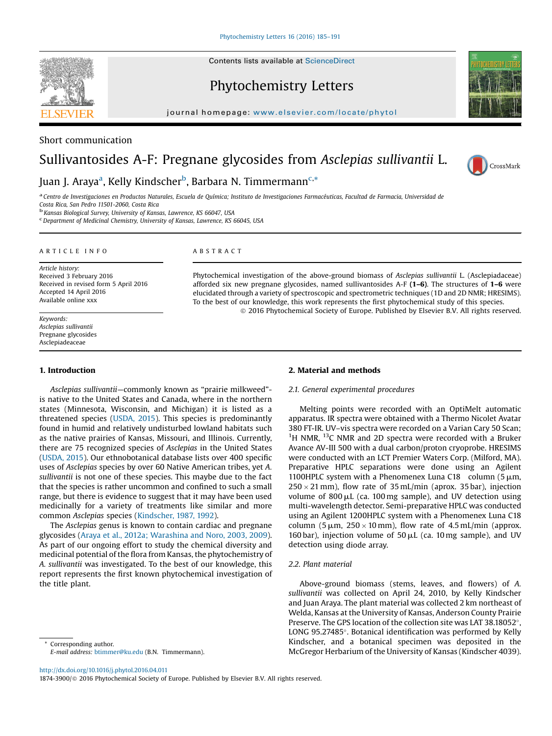

Phytochemistry Letters



# Short communication

# Sullivantosides A-F: Pregnane glycosides from Asclepias sullivantii L.



# Juan J. Araya<sup>a</sup>, Kelly Kindscher<sup>b</sup>, Barbara N. Timmermann<sup>c,</sup>\*

a Centro de Investigaciones en Productos Naturales, Escuela de Química; Instituto de Investigaciones Farmacéuticas, Facultad de Farmacia, Universidad de<br>Costa Rica, San Pedro 11501-2060, Costa Rica

<sup>b</sup> Kansas Biological Survey, University of Kansas, Lawrence, KS 66047, USA

Department of Medicinal Chemistry, University of Kansas, Lawrence, KS 66045, USA

#### A R T I C L E I N F O

Article history: Received 3 February 2016 Received in revised form 5 April 2016 Accepted 14 April 2016 Available online xxx

#### Keywords: Asclepias sullivantii Pregnane glycosides Asclepiadeaceae

# 1. Introduction

Asclepias sullivantii—commonly known as "prairie milkweed" is native to the United States and Canada, where in the northern states (Minnesota, Wisconsin, and Michigan) it is listed as a threatened species [\(USDA,](#page-6-0) 2015). This species is predominantly found in humid and relatively undisturbed lowland habitats such as the native prairies of Kansas, Missouri, and Illinois. Currently, there are 75 recognized species of Asclepias in the United States ([USDA,](#page-6-0) 2015). Our ethnobotanical database lists over 400 specific uses of Asclepias species by over 60 Native American tribes, yet A. sullivantii is not one of these species. This maybe due to the fact that the species is rather uncommon and confined to such a small range, but there is evidence to suggest that it may have been used medicinally for a variety of treatments like similar and more common Asclepias species [\(Kindscher,](#page-6-0) 1987, 1992).

The Asclepias genus is known to contain cardiac and pregnane glycosides (Araya et al., 2012a; [Warashina](#page-6-0) and Noro, 2003, 2009). As part of our ongoing effort to study the chemical diversity and medicinal potential of the flora from Kansas, the phytochemistry of A. sullivantii was investigated. To the best of our knowledge, this report represents the first known phytochemical investigation of the title plant.

Corresponding author. E-mail address: [btimmer@ku.edu](mailto:btimmer@ku.edu) (B.N. Timmermann).

#### <http://dx.doi.org/10.1016/j.phytol.2016.04.011>

1874-3900/ $@$  2016 Phytochemical Society of Europe. Published by Elsevier B.V. All rights reserved.

#### A B S T R A C T

Phytochemical investigation of the above-ground biomass of Asclepias sullivantii L. (Asclepiadaceae) afforded six new pregnane glycosides, named sullivantosides A-F  $(1-6)$ . The structures of  $1-6$  were elucidated through a variety of spectroscopic and spectrometric techniques (1D and 2D NMR; HRESIMS). To the best of our knowledge, this work represents the first phytochemical study of this species.

ã 2016 Phytochemical Society of Europe. Published by Elsevier B.V. All rights reserved.

# 2. Material and methods

# 2.1. General experimental procedures

Melting points were recorded with an OptiMelt automatic apparatus. IR spectra were obtained with a Thermo Nicolet Avatar 380 FT-IR. UV–vis spectra were recorded on a Varian Cary 50 Scan; <sup>1</sup>H NMR, <sup>13</sup>C NMR and 2D spectra were recorded with a Bruker Avance AV-III 500 with a dual carbon/proton cryoprobe. HRESIMS were conducted with an LCT Premier Waters Corp. (Milford, MA). Preparative HPLC separations were done using an Agilent 1100HPLC system with a Phenomenex Luna C18 column  $(5 \mu m, 1)$  $250 \times 21$  mm), flow rate of 35 mL/min (aprox. 35 bar), injection volume of  $800 \mu L$  (ca. 100 mg sample), and UV detection using multi-wavelength detector. Semi-preparative HPLC was conducted using an Agilent 1200HPLC system with a Phenomenex Luna C18 column (5  $\mu$ m, 250  $\times$  10 mm), flow rate of 4.5 mL/min (approx. 160 bar), injection volume of  $50 \mu L$  (ca. 10 mg sample), and UV detection using diode array.

#### 2.2. Plant material

Above-ground biomass (stems, leaves, and flowers) of A. sullivantii was collected on April 24, 2010, by Kelly Kindscher and Juan Araya. The plant material was collected 2 km northeast of Welda, Kansas at the University of Kansas, Anderson County Prairie Preserve. The GPS location of the collection site was LAT 38.18052°, LONG 95.27485°. Botanical identification was performed by Kelly Kindscher, and a botanical specimen was deposited in the McGregor Herbarium of the University of Kansas (Kindscher 4039).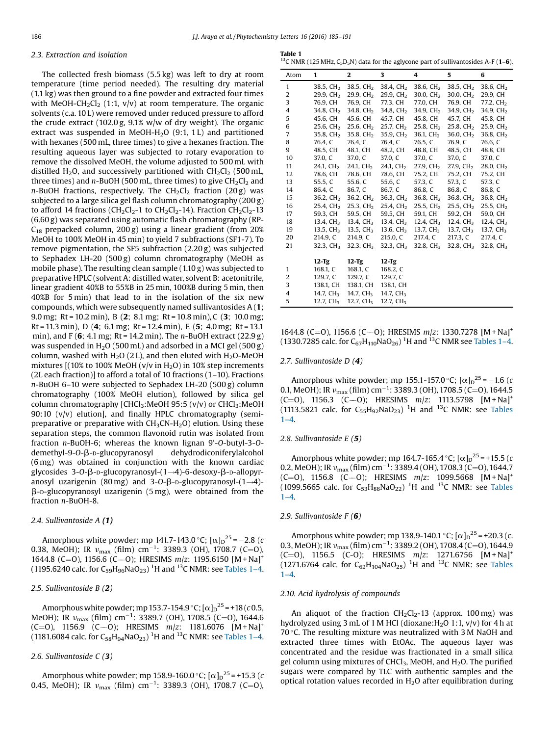# <span id="page-1-0"></span>2.3. Extraction and isolation

The collected fresh biomass (5.5 kg) was left to dry at room temperature (time period needed). The resulting dry material (1.1 kg) was then ground to a fine powder and extracted four times with MeOH-CH<sub>2</sub>Cl<sub>2</sub> (1:1, v/v) at room temperature. The organic solvents (c.a. 10 L) were removed under reduced pressure to afford the crude extract (102.0 g, 9.1% w/w of dry weight). The organic extract was suspended in MeOH-H<sub>2</sub>O  $(9:1, 1 L)$  and partitioned with hexanes (500 mL, three times) to give a hexanes fraction. The resulting aqueous layer was subjected to rotary evaporation to remove the dissolved MeOH, the volume adjusted to 500 mL with distilled H<sub>2</sub>O, and successively partitioned with  $CH_2Cl_2$  (500 mL, three times) and  $n$ -BuOH (500 mL, three times) to give  $CH_2Cl_2$  and  $n$ -BuOH fractions, respectively. The CH<sub>2</sub>Cl<sub>2</sub> fraction (20 g) was subjected to a large silica gel flash column chromatography (200 g) to afford 14 fractions (CH<sub>2</sub>Cl<sub>2</sub>-1 to CH<sub>2</sub>Cl<sub>2</sub>-14). Fraction CH<sub>2</sub>Cl<sub>2</sub>-13 (6.60 g) was separated using automatic flash chromatography (RP- $C_{18}$  prepacked column, 200 g) using a linear gradient (from 20%) MeOH to 100% MeOH in 45 min) to yield 7 subfractions (SF1-7). To remove pigmentation, the SF5 subfraction (2.20 g) was subjected to Sephadex LH-20 (500 g) column chromatography (MeOH as mobile phase). The resulting clean sample (1.10 g) was subjected to preparative HPLC (solvent A: distilled water, solvent B: acetonitrile, linear gradient 40%B to 55%B in 25 min, 100%B during 5 min, then 40%B for 5 min) that lead to in the isolation of the six new compounds, which were subsequently named sullivantosides A (1; 9.0 mg; Rt = 10.2 min), B (2; 8.1 mg; Rt = 10.8 min), C (3; 10.0 mg; Rt = 11.3 min), D (4; 6.1 mg; Rt = 12.4 min), E (5; 4.0 mg; Rt = 13.1 min), and F (6; 4.1 mg; Rt = 14.2 min). The *n*-BuOH extract (22.9 g) was suspended in  $H<sub>2</sub>O$  (500 mL) and adsorbed in a MCI gel (500 g) column, washed with  $H_2O$  (2 L), and then eluted with  $H_2O$ -MeOH mixtures  $[(10% to 100% MeOH (v/v in H<sub>2</sub>O) in 10% step increments$ (2L each fraction)] to afford a total of 10 fractions (1–10). Fractions n-BuOH 6–10 were subjected to Sephadex LH-20 (500 g) column chromatography (100% MeOH elution), followed by silica gel column chromatography  $[CHCl_3:MeOH 95:5 (v/v)$  or  $CHCl_3:MeOH$ 90:10 (v/v) elution], and finally HPLC chromatography (semipreparative or preparative with  $CH<sub>3</sub>CN-H<sub>2</sub>O$ ) elution. Using these separation steps, the common flavonoid rutin was isolated from fraction n-BuOH-6; whereas the known lignan 9'-O-butyl-3-Odemethyl-9-O- $\beta$ -D-glucopyranosyl dehydrodiconiferylalcohol (6 mg) was obtained in conjunction with the known cardiac glycosides  $3$ -O- $\beta$ -D-glucopyranosyl- $(1 \rightarrow 4)$ -6-desoxy- $\beta$ -D-allopyranosyl uzarigenin (80 mg) and  $3$ -O- $\beta$ -D-glucopyranosyl- $(1\rightarrow4)$ - $\beta$ -D-glucopyranosyl uzarigenin (5 mg), were obtained from the fraction n-BuOH-8.

# 2.4. Sullivantoside A (1)

Amorphous white powder; mp 141.7-143.0 °C;  $[\alpha]_D^{25} = -2.8$  (c 0.38, MeOH); IR  $v_{\text{max}}$  (film) cm<sup>-1</sup>: 3389.3 (OH), 1708.7 (C=O), 1644.8 (C=O), 1156.6 (C-O); HRESIMS m/z: 1195.6150 [M + Na]<sup>+</sup> (1195.6240 calc. for C<sub>59</sub>H<sub>96</sub>NaO<sub>23</sub>) <sup>1</sup>H and <sup>13</sup>C NMR: see Tables 1–4.

#### 2.5. Sullivantoside B (2)

Amorphous white powder; mp 153.7-154.9  $^{\circ}$  C; [ $\alpha$ ] $_{\text{D}}$ <sup>25</sup> = +18 (*c* 0.5, MeOH); IR  $v_{\text{max}}$  (film) cm<sup>-1</sup>: 3389.7 (OH), 1708.5 (C=O), 1644.6  $(C=0)$ , 1156.9  $(C=0)$ ; HRESIMS  $m/z$ : 1181.6076  $[M+Na]$ <sup>+</sup> (1181.6084 calc. for  $\mathsf{C}_{58}\mathsf{H}_{94}\mathsf{NaO}_{23}$ ) <sup>1</sup>H and <sup>13</sup>C NMR: see Tables 1–4.

# 2.6. Sullivantoside C (3)

Amorphous white powder; mp 158.9-160.0 °C;  $[\alpha]_{\text{D}}^{25}$  = +15.3 (c 0.45, MeOH); IR  $v_{\text{max}}$  (film) cm<sup>-1</sup>: 3389.3 (OH), 1708.7 (C=O),

Table 1

<sup>13</sup>C NMR (125 MHz, C<sub>5</sub>D<sub>5</sub>N) data for the aglycone part of sullivantosides A-F (**1-6**).

| Atom           | 1                     | $\overline{2}$        | 3                     | 4                     | 5                     | 6                     |
|----------------|-----------------------|-----------------------|-----------------------|-----------------------|-----------------------|-----------------------|
| $\mathbf{1}$   | 38.5, CH <sub>2</sub> | 38.5, CH <sub>2</sub> | 38.4, CH <sub>2</sub> | 38.6, CH <sub>2</sub> | 38.5, CH <sub>2</sub> | 38.6, CH <sub>2</sub> |
| 2              | 29.9. CH <sub>2</sub> | 29.9, CH <sub>2</sub> | 29.9, CH <sub>2</sub> | 30.0, CH <sub>2</sub> | 30.0, CH <sub>2</sub> | 29.9, CH              |
| 3              | 76.9. CH              | 76.9. CH              | 77.3. CH              | 77.0. CH              | 76.9. CH              | 77.2, CH <sub>2</sub> |
| 4              | 34.8, CH <sub>2</sub> | 34.8, CH <sub>2</sub> | 34.8, CH <sub>2</sub> | 34.9, $CH2$           | $34.9, \text{CH}_2$   | 34.9, CH <sub>2</sub> |
| 5              | 45.6, CH              | 45.6, CH              | 45.7, CH              | 45.8, CH              | 45.7, CH              | 45.8, CH              |
| 6              | 25.6, CH <sub>2</sub> | 25.6, CH <sub>2</sub> | 25.7, CH <sub>2</sub> | 25.8, CH <sub>2</sub> | 25.8, CH <sub>2</sub> | 25.9, CH <sub>2</sub> |
| 7              | 35.8, CH <sub>2</sub> | 35.8, CH <sub>2</sub> | 35.9, CH <sub>2</sub> | 36.1, CH <sub>2</sub> | 36.0, CH <sub>2</sub> | 36.8, CH <sub>2</sub> |
| 8              | 76.4. C               | 76.4. C               | 76.4, C               | 76.5, C               | 76.9, C               | 76.6, C               |
| 9              | 48.5, CH              | 48.1, CH              | 48.2, CH              | 48.8, CH              | 48.5, CH              | 48.8, CH              |
| 10             | 37.0, C               | 37.0, C               | 37.0, C               | 37.0, C               | 37.0, C               | 37.0, C               |
| 11             | 24.1, CH <sub>2</sub> | 24.1, CH <sub>2</sub> | 24.1, CH <sub>2</sub> | 27.9, CH <sub>2</sub> | 27.9, CH <sub>2</sub> | 28.0, CH <sub>2</sub> |
| 12             | 78.6, CH              | 78.6, CH              | 78.6, CH              | 75.2, CH              | 75.2, CH              | 75.2, CH              |
| 13             | 55.5, C               | 55.6, C               | 55.6. C               | 57.3, C               | 57.3. C               | 57.3, C               |
| 14             | 86.4. C               | 86.7. C               | 86.7. C               | 86.8, C               | 86.8. C               | 86.8, C               |
| 15             | 36.2. CH <sub>2</sub> | 36.2. CH <sub>2</sub> | 36.3. CH <sub>2</sub> | 36.8. CH <sub>2</sub> | 36.8. CH <sub>2</sub> | 36.8, CH <sub>2</sub> |
| 16             | 25.4. CH <sub>2</sub> | 25.3, CH <sub>2</sub> | 25.4, CH <sub>2</sub> | 25.5, CH <sub>2</sub> | 25.5, CH <sub>2</sub> | 25.5, CH <sub>2</sub> |
| 17             | 59.3, CH              | 59.5. CH              | 59.5, CH              | 59.1, CH              | 59.2. CH              | 59.0, CH              |
| 18             | 13.4, $CH3$           | 13.4, $CH3$           | 13.4, $CH3$           | 12.4, CH <sub>3</sub> | 12.4, $CH3$           | 12.4, $CH3$           |
| 19             | 13.5, $CH3$           | 13.5, $CH3$           | 13.6, $CH3$           | 13.7, CH <sub>3</sub> | 13.7, CH <sub>3</sub> | 13.7, CH <sub>3</sub> |
| 20             | 214.9, C              | 214.9. C              | 215.0, C              | 217.4, C              | 217.3, C              | 217.4, C              |
| 21             | 32.3, CH <sub>3</sub> | 32.3, CH <sub>3</sub> | 32.3, $CH3$           | 32.8, CH <sub>3</sub> | 32.8, CH <sub>3</sub> | 32.8, CH <sub>3</sub> |
|                | $12-Tg$               | $12-Tg$               | $12-Tg$               |                       |                       |                       |
| $\mathbf{1}$   | 168.1, C              | 168.1, C              | 168.2, C              |                       |                       |                       |
| $\overline{2}$ | 129.7, C              | 129.7, C              | 129.7, C              |                       |                       |                       |
| 3              | 138.1, CH             | 138.1, CH             | 138.1, CH             |                       |                       |                       |
| 4              | 14.7, CH <sub>3</sub> | 14.7, CH <sub>3</sub> | 14.7, CH <sub>3</sub> |                       |                       |                       |
| 5              | 12.7, $CH3$           | 12.7, $CH3$           | 12.7, $CH3$           |                       |                       |                       |

1644.8 (C=O), 1156.6 (C--O); HRESIMS  $m/z$ : 1330.7278 [M + Na]<sup>+</sup> (1330.7285 calc. for  $C_{67}H_{110}NaO_{26}$ ) <sup>1</sup>H and <sup>13</sup>C NMR see Tables 1–4.

### 2.7. Sullivantoside D (4)

Amorphous white powder; mp 155.1-157.0 °C;  $[\alpha]_D^2$ <sup>25</sup> = -1.6 (c) 0.1, MeOH); IR  $v_{\text{max}}$  (film) cm<sup>-1</sup>: 3389.3 (OH), 1708.5 (C=O), 1644.5  $(C=0)$ , 1156.3  $(C=0)$ ; HRESIMS  $m/z$ ; 1113.5798  $[M+Na]$ <sup>+</sup> (1113.5821 calc. for  $C_{55}H_{92}NaO_{23}$ ) <sup>1</sup>H and <sup>13</sup>C NMR: see Tables  $1 - 4.$ 

### 2.8. Sullivantoside E (5)

Amorphous white powder; mp 164.7-165.4 °C;  $[\alpha]_D^2$ <sup>5</sup> = +15.5 (*c*) 0.2, MeOH); IR  $v_{\text{max}}$  (film) cm<sup>-1</sup>: 3389.4 (OH), 1708.3 (C=O), 1644.7  $(C=0)$ , 1156.8  $(C=0)$ ; HRESIMS  $m/z$ : 1099.5668  $[M+Na]$ <sup>+</sup> (1099.5665 calc. for  $C_{53}H_{88}NaO_{22}$ ) <sup>1</sup>H and <sup>13</sup>C NMR: see Tables  $1-4.$ 

#### 2.9. Sullivantoside F (6)

Amorphous white powder; mp 138.9-140.1 °C;  $[\alpha]_{\text{D}}^{\text{25}}$  = +20.3 (c. 0.3, MeOH); IR  $v_{\text{max}}$  (film) cm<sup>-1</sup>: 3389.2 (OH), 1708.4 (C=O), 1644.9  $(C=0)$ , 1156.5  $(C=0)$ ; HRESIMS  $m/z$ : 1271.6756  $[M+Na]$ <sup>+</sup> (1271.6764 calc. for  $C_{62}H_{104}NaO_{25}$ ) <sup>1</sup>H and <sup>13</sup>C NMR: see Tables 1–4.

#### 2.10. Acid hydrolysis of compounds

An aliquot of the fraction  $CH_2Cl_2-13$  (approx. 100 mg) was hydrolyzed using 3 mL of 1 M HCl (dioxane: H<sub>2</sub>O 1:1,  $v/v$ ) for 4 h at 70 $\degree$ C. The resulting mixture was neutralized with 3 M NaOH and extracted three times with EtOAc. The aqueous layer was concentrated and the residue was fractionated in a small silica gel column using mixtures of CHCl<sub>3</sub>, MeOH, and H<sub>2</sub>O. The purified sugars were compared by TLC with authentic samples and the optical rotation values recorded in  $H_2O$  after equilibration during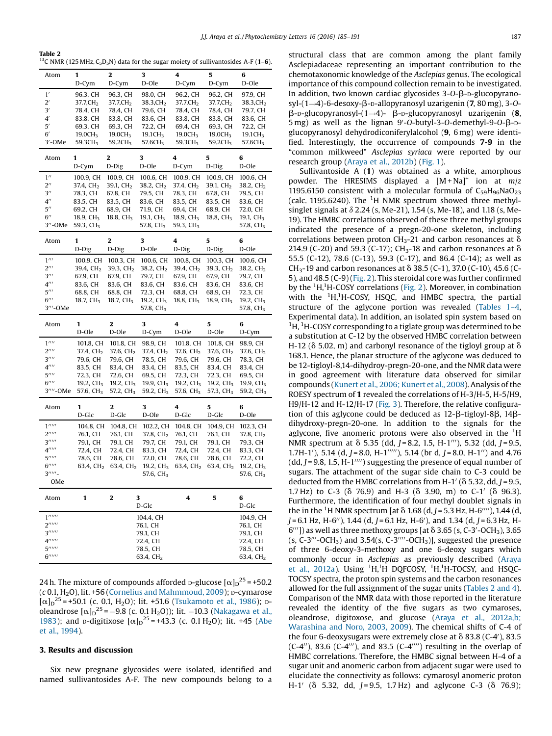<span id="page-2-0"></span>

| Table 2                                                                                                                         |
|---------------------------------------------------------------------------------------------------------------------------------|
| <sup>13</sup> C NMR (125 MHz, C <sub>5</sub> D <sub>5</sub> N) data for the sugar moiety of sullivantosides A-F ( <b>1–6</b> ). |

| Atom                                                                           | 1                                  | 2                                  | 3                                  | 4                                  | 5                                  | 6                                  |
|--------------------------------------------------------------------------------|------------------------------------|------------------------------------|------------------------------------|------------------------------------|------------------------------------|------------------------------------|
|                                                                                | D-Cym                              | D-Cym                              | D-Ole                              | D-Cym                              | D-Cym                              | D-Ole                              |
| 1'<br>$2^{\prime}$                                                             | 96.3, CH<br>37.7,CH <sub>2</sub>   | 96.3, CH<br>37.7,CH <sub>2</sub>   | 98.0, CH<br>38.3,CH <sub>2</sub>   | 96.2, CH<br>37.7,CH <sub>2</sub>   | 96.2, CH<br>37.7,CH <sub>2</sub>   | 97.9, CH<br>38.3,CH $_{\rm 2}$     |
| $3^\prime$                                                                     | 78.4, CH                           | 78.4, CH                           | 79.6, CH                           | 78.4, CH                           | 78.4, CH                           | 79.7, CH                           |
| 4                                                                              | 83.8, CH                           | 83.8, CH                           | 83.6, CH                           | 83.8, CH                           | 83.8, CH                           | 83.6, CH                           |
| 5'                                                                             | 69.3, CH                           | 69.3, CH                           | 72.2, CH                           | 69.4, CH                           | 69.3, CH                           | 72.2, CH                           |
| 6′                                                                             | 19.0CH <sub>3</sub>                | 19.0CH <sub>3</sub>                | 19.1 $CH3$                         | 19.0CH <sub>3</sub>                | 19.0CH <sub>3</sub>                | 19.1 CH <sub>3</sub>               |
| $3'$ -OMe                                                                      | 59.3CH <sub>3</sub>                | 59.2CH <sub>3</sub>                | 57.6CH <sub>3</sub>                | 59.3CH <sub>3</sub>                | 59.2CH <sub>3</sub>                | 57.6CH <sub>3</sub>                |
| Atom                                                                           | 1                                  | 2                                  | 3                                  | 4                                  | 5                                  | 6                                  |
|                                                                                | D-Cym                              | D-Dig                              | D-Ole                              | D-Cym                              | D-Dig                              | D-Ole                              |
| $1^{\prime\prime}$<br>$2^{\prime\prime}$                                       | 100.9, CH<br>37.4, CH <sub>2</sub> | 100.9, CH<br>39.1, CH <sub>2</sub> | 100.6, CH<br>38.2, CH <sub>2</sub> | 100.9, CH<br>37.4, CH <sub>2</sub> | 100.9, CH<br>39.1, CH <sub>2</sub> | 100.6, CH<br>38.2, CH <sub>2</sub> |
| $3^{\prime\prime}$                                                             | 78.3, CH                           | 67.8, CH                           | 79.5, CH                           | 78.3, CH                           | 67.8, CH                           | 79.5, CH                           |
| $4^{\prime\prime}$                                                             | 83.5, CH                           | 83.5, CH                           | 83.6, CH                           | 83.5, CH                           | 83.5, CH                           | 83.6, CH                           |
| $5^{\prime\prime}$                                                             | 69.2, CH                           | 68.9, CH                           | 71.9, CH                           | 69.4, CH                           | 68.9, CH                           | 72.0, CH                           |
| $6^{\prime\prime}$                                                             | 18.9, $CH3$                        | 18.8, CH <sub>3</sub>              | 19.1, $CH3$                        | 18.9, $CH3$                        | 18.8, CH <sub>3</sub>              | 19.1, $CH3$                        |
| 3′′-0Me                                                                        | 59.3, CH <sub>3</sub>              |                                    | 57.8, $CH3$                        | 59.3, $CH3$                        |                                    | 57.8, CH <sub>3</sub>              |
| Atom                                                                           | 1                                  | 2                                  | 3                                  | 4                                  | 5                                  | 6                                  |
|                                                                                | D-Dig                              | D-Dig                              | D-Ole                              | D-Dig                              | D-Dig                              | D-Ole                              |
| $1^{\prime\prime\prime}$                                                       | 100.9, CH                          | 100.3, CH                          | 100.6, CH                          | 100.8, CH                          | 100.3, CH                          | 100.6, CH                          |
| $2^{\prime\prime\prime}$                                                       | 39.4, CH <sub>2</sub>              | 39.3, CH <sub>2</sub>              | 38.2, CH <sub>2</sub>              | 39.4, CH <sub>2</sub>              | 39.3, CH <sub>2</sub>              | 38.2, CH <sub>2</sub>              |
| $3^{\prime\prime\prime}$                                                       | 67.9, CH                           | 67.9, CH                           | 79.7, CH                           | 67.9, CH                           | 67.9, CH                           | 79.7, CH                           |
| $4^{\prime\prime\prime}$<br>$5^{\prime\prime\prime}$                           | 83.6, CH<br>68.8, CH               | 83.6, CH<br>68.8, CH               | 83.6, CH<br>72.3, CH               | 83.6, CH<br>68.8, CH               | 83.6, CH<br>68.9, CH               | 83.6, CH<br>72.3, CH               |
| $6^{\prime\prime\prime}$                                                       | 18.7, $CH3$                        | 18.7, $CH3$                        | 19.2, $CH3$                        | 18.8, $CH3$                        | 18.9, CH <sub>3</sub>              | 19.2, $CH3$                        |
| 3'''-OMe                                                                       |                                    |                                    | 57.8, CH <sub>3</sub>              |                                    |                                    | 57.8, CH <sub>3</sub>              |
|                                                                                |                                    |                                    |                                    |                                    |                                    |                                    |
| Atom                                                                           | 1                                  | 2                                  | 3                                  | 4                                  | 5                                  | 6                                  |
|                                                                                | D-Ole                              | D-Ole                              | D-Cym                              | D-Ole                              | D-Ole                              | D-Cym                              |
| $1^{\prime\prime\prime\prime}$                                                 | 101.8, CH                          | 101.8, CH                          | 98.9, CH                           | 101.8, CH                          | 101.8, CH                          | 98.9, CH                           |
| $2^{\prime\prime\prime\prime}$                                                 | 37.4, $CH2$                        | 37.6, CH <sub>2</sub>              | 37.4, CH <sub>2</sub>              | 37.6, CH <sub>2</sub>              | 37.6, CH <sub>2</sub>              | 37.6, $CH2$                        |
| $3^{\prime\prime\prime\prime}$                                                 | 79.6, CH                           | 79.6, CH                           | 78.5, CH                           | 79.6, CH                           | 79.6, CH                           | 78.3, CH                           |
| $4^{\prime\prime\prime\prime}$                                                 | 83.5, CH                           | 83.4, CH                           | 83.4, CH                           | 83.5, CH                           | 83.4, CH                           | 83.4, CH                           |
| $5^{\prime\prime\prime\prime}$<br>$6$ <sup>''''</sup>                          | 72.3, CH<br>19.2, $CH3$            | 72.6, CH<br>19.2, $CH3$            | 69.5, CH<br>19.9, CH <sub>3</sub>  | 72.3, CH<br>19.2, CH <sub>3</sub>  | 72.3, CH<br>19.2, $CH3$            | 69.5, CH<br>19.9, $CH3$            |
| 3''''-OMe                                                                      | 57.6, CH <sub>3</sub>              | 57.2, CH <sub>3</sub>              | 59.2, CH <sub>3</sub>              | 57.6, CH <sub>3</sub>              | 57.3, CH <sub>3</sub>              | 59.2, CH <sub>3</sub>              |
| Atom                                                                           | 1                                  | 2                                  | 3                                  | 4                                  | 5                                  | 6                                  |
|                                                                                | D-Glc                              | D-Glc                              | D-Ole                              | D-Glc                              | D-Glc                              | D-Ole                              |
| $1^{\prime\prime\prime\prime\prime}$                                           | 104.8, CH                          | 104.8, CH                          | 102.2, CH                          | 104.8, CH                          | 104.9, CH                          | 102.3, CH                          |
| $2$ '''''                                                                      | 76.1, CH                           | 76.1, CH                           | 37.8, CH <sub>2</sub>              | 76.1, CH                           | 76.1, CH                           | 37.8, CH <sub>2</sub>              |
| 3                                                                              | 79.1, CH                           | 79.1, CH                           | 79.7, CH                           | 79.1, CH                           | 79.1, CH                           | 79.3, CH                           |
| $4^{\prime\prime\prime\prime\prime}$                                           | 72.4, CH                           | 72.4, CH                           | 83.3, CH                           | 72.4, CH                           | 72.4, CH                           | 83.3, CH                           |
| 5                                                                              | 78.6, CH                           | 78.6, CH                           | 72.0, CH                           | 78.6, CH                           | 78.6, CH                           | 72.2, CH                           |
| $6$ <sup><math>\prime\prime\prime\prime\prime}</math></sup><br>3''''''         | 63.4, CH <sub>2</sub>              | 63.4, CH <sub>2</sub>              | 19.2, $CH3$                        | 63.4, CH <sub>2</sub>              | 63.4, $CH2$                        | 19.2, $CH3$                        |
| OMe                                                                            |                                    |                                    | 57.6, CH <sub>3</sub>              |                                    |                                    | 57.6, CH <sub>3</sub>              |
| Atom                                                                           | 1                                  | 2                                  | 3<br>D-Glc                         | 4                                  | 5                                  | 6<br>D-Glc                         |
| $1^{\prime\prime\prime\prime\prime\prime}$                                     |                                    |                                    |                                    |                                    |                                    |                                    |
| $2^{\prime\prime\prime\prime\prime\prime}$                                     |                                    |                                    | 104.4, CH<br>76.1, CH              |                                    |                                    | 104.9, CH<br>76.1, CH              |
| 3                                                                              |                                    |                                    | 79.1, CH                           |                                    |                                    | 79.1, CH                           |
| $4$ <sup><math>\prime</math></sup>                                             |                                    |                                    | 72.4, CH                           |                                    |                                    | 72.4, CH                           |
| 5''''''''<br>$6$ <sup><math>\prime\prime\prime\prime\prime\prime}</math></sup> |                                    |                                    | 78.5, CH<br>63.4, CH <sub>2</sub>  |                                    |                                    | 78.5, CH<br>63.4, CH <sub>2</sub>  |

24 h. The mixture of compounds afforded <mark>p-glucose [ $\alpha$ ] $_0$ <sup>25</sup> = +50.2</mark>  $(c 0.1, H<sub>2</sub>O)$ , lit. +56 (Cornelius and [Mahmmoud,](#page-6-0) 2009); D-cymarose  $[\alpha]_D^{25}$  = +50.1 (c. 0.1, H<sub>2</sub>O); lit. +51.6 ([Tsukamoto](#page-6-0) et al., 1986); poleandrose  $[\alpha]_D^{25} = -9.8$  (c. 0.1 H<sub>2</sub>O)); lit. -10.3 ([Nakagawa](#page-6-0) et al., [1983](#page-6-0)); and p-digitixose  $[\alpha]_D^{25} = +43.3$  (c. 0.1 H<sub>2</sub>O); lit. +45 ([Abe](#page-6-0) et al., [1994](#page-6-0)).

### 3. Results and discussion

Six new pregnane glycosides were isolated, identified and named sullivantosides A-F. The new compounds belong to a structural class that are common among the plant family Asclepiadaceae representing an important contribution to the chemotaxonomic knowledge of the Asclepias genus. The ecological importance of this compound collection remain to be investigated. In addition, two known cardiac glycosides  $3$ -O- $\beta$ -D-glucopyranosyl- $(1\rightarrow4)$ -6-desoxy- $\beta$ -p-allopyranosyl uzarigenin (7, 80 mg), 3-O- $\beta$ -D-glucopyranosyl- $(1\rightarrow4)$ -  $\beta$ -D-glucopyranosyl uzarigenin (8,  $\frac{1}{2}$  5 mg) as well as the lignan 9'-O-butyl-3-O-demethyl-9-O- $\beta$ -Dglucopyranosyl dehydrodiconiferylalcohol (9, 6 mg) were identified. Interestingly, the occurrence of compounds 7-9 in the "common milkweed" Asclepias syriaca were reported by our research group (Araya et al., [2012b](#page-6-0)) [\(Fig.](#page-5-0) 1).

Sullivantoside A (1) was obtained as a white, amorphous powder. The HRESIMS displayed a  $[M+Na]^+$  ion at  $m/z$ 1195.6150 consistent with a molecular formula of  $C_{59}H_{96}NaO_{23}$ (calc. 1195.6240). The  $1H$  NMR spectrum showed three methylsinglet signals at  $\delta$  2.24 (s, Me-21), 1.54 (s, Me-18), and 1.18 (s, Me-19). The HMBC correlations observed of these three methyl groups indicated the presence of a pregn-20-one skeleton, including correlations between proton CH<sub>3</sub>-21 and carbon resonances at  $\delta$ 214.9 (C-20) and 59.3 (C-17); CH<sub>3</sub>-18 and carbon resonances at  $\delta$ 55.5 (C-12), 78.6 (C-13), 59.3 (C-17), and 86.4 (C-14); as well as  $CH_3-19$  and carbon resonances at  $\delta$  38.5 (C-1), 37.0 (C-10), 45.6 (C-5), and 48.5 (C-9) [\(Fig.](#page-5-0) 2). This steroidal core was further confirmed by the <sup>1</sup>H,<sup>1</sup>H-COSY correlations ([Fig.](#page-5-0) 2). Moreover, in combination with the <sup>1</sup>H,<sup>1</sup>H-COSY, HSQC, and HMBC spectra, the partial structure of the aglycone portion was revealed ([Tables](#page-1-0) 1–4, Experimental data). In addition, an isolated spin system based on <sup>1</sup>H, <sup>1</sup>H-COSY corresponding to a tiglate group was determined to be a substitution at C-12 by the observed HMBC correlation between H-12 ( $\delta$  5.02, m) and carbonyl resonance of the tigloyl group at  $\delta$ 168.1. Hence, the planar structure of the aglycone was deduced to be 12-tigloyl-8,14-dihydroy-pregn-20-one, and the NMR data were in good agreement with literature data observed for similar compounds (Kunert et al., 2006; [Kunert](#page-6-0) et al., 2008). Analysis of the ROESY spectrum of 1 revealed the correlations of H-3/H-5, H-5/H9, H9/H-12 and H-12/H-17 ([Fig.](#page-5-0) 3). Therefore, the relative configuration of this aglycone could be deduced as  $12-\beta$ -tigloyl-8 $\beta$ ,  $14\beta$ dihydroxy-pregn-20-one. In addition to the signals for the aglycone, five anomeric protons were also observed in the  ${}^{1}$ H NMR spectrum at  $\delta$  5.35 (dd, J = 8.2, 1.5, H-1<sup>*m*</sup>), 5.32 (dd, J = 9.5, 1.7H-1'), 5.14 (d, J = 8.0, H-1'''''), 5.14 (br d, J = 8.0, H-1'') and 4.76  $(dd, J=9.8, 1.5, H-1''''$ ) suggesting the presence of equal number of sugars. The attachment of the sugar side chain to C-3 could be deducted from the HMBC correlations from H-1' ( $\delta$  5.32, dd, J = 9.5, 1.7 Hz) to C-3 ( $\delta$  76.9) and H-3 ( $\delta$  3.90, m) to C-1' ( $\delta$  96.3). Furthermore, the identification of four methyl doublet signals in the in the <sup>1</sup>H NMR spectrum [at  $\delta$  1.68 (d, J = 5.3 Hz, H-6""), 1.44 (d, J = 6.1 Hz, H-6''), 1.44 (d, J = 6.1 Hz, H-6'), and 1.34 (d, J = 6.3 Hz, H- $\widetilde{f}(\theta'')$  as well as three methoxy groups [at  $\delta$  3.65 (s, C-3<sup>7</sup>-OCH<sub>3</sub>), 3.65  $(s, C-3'''-OCH<sub>3</sub>)$  and 3.54 $(s, C-3''''-OCH<sub>3</sub>)$ ], suggested the presence of three 6-deoxy-3-methoxy and one 6-deoxy sugars which commonly occur in Asclepias as previously described ([Araya](#page-6-0) et al., [2012a](#page-6-0)). Using  ${}^{1}H, {}^{1}H$  DQFCOSY,  ${}^{1}H, {}^{1}H$ -TOCSY, and HSQC-TOCSY spectra, the proton spin systems and the carbon resonances allowed for the full assignment of the sugar units (Tables 2 and 4). Comparison of the NMR data with those reported in the literature revealed the identity of the five sugars as two cymaroses, oleandrose, digitoxose, and glucose (Araya et al., [2012a,b;](#page-6-0) [Warashina](#page-6-0) and Noro, 2003, 2009). The chemical shifts of C-4 of the four 6-deoxysugars were extremely close at  $\delta$  83.8 (C-4'), 83.5  $(C-4'')$ , 83.6  $(C-4''')$ , and 83.5  $(C-4'''')$  resulting in the overlap of HMBC correlations. Therefore, the HMBC signal between H-4 of a sugar unit and anomeric carbon from adjacent sugar were used to elucidate the connectivity as follows: cymarosyl anomeric proton H-1<sup>'</sup> ( $\delta$  5.32, dd, J=9.5, 1.7 Hz) and aglycone C-3 ( $\delta$  76.9);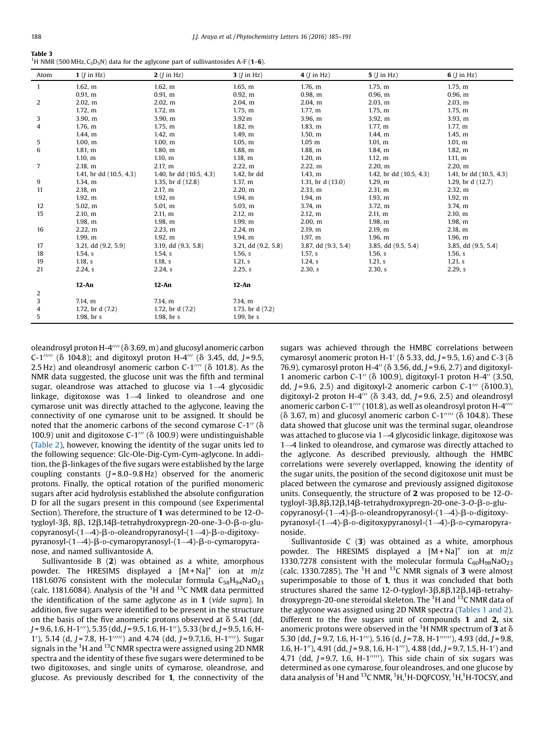| Table 3                                                                                                                |  |
|------------------------------------------------------------------------------------------------------------------------|--|
| <sup>1</sup> H NMR (500 MHz, C <sub>5</sub> D <sub>5</sub> N) data for the aglycone part of sullivantosides A-F (1-6). |  |

| Atom         | $1$ ( <i>I</i> in Hz)   | $2$ ( <i>I</i> in Hz)     | $3$ ( $\overline{I}$ in Hz) | $4$ ( <i>I</i> in Hz) | $5$ ( $\overline{I}$ in Hz) | $6$ ( <i>l</i> in Hz)     |
|--------------|-------------------------|---------------------------|-----------------------------|-----------------------|-----------------------------|---------------------------|
| $\mathbf{1}$ | 1.62, m                 | 1.62, m                   | 1.65, m                     | 1.76, m               | 1.75, m                     | 1.75, m                   |
|              | 0.91, m                 | 0.91, m                   | 0.92, m                     | 0.98, m               | 0.96, m                     | 0.96, m                   |
| 2            | 2.02, m                 | 2.02, m                   | 2.04, m                     | 2.04, m               | 2.03, m                     | 2.03, m                   |
|              | 1.72, m                 | 1.72, m                   | 1.75, m                     | 1.77, m               | 1.75, m                     | 1.75, m                   |
| 3            | 3.90, m                 | 3.90, m                   | 3.92 <sub>m</sub>           | 3.96, m               | $3.921$ m                   | 3.93, m                   |
| 4            | 1.76, m                 | 1.75, m                   | 1.82, m                     | 1.83, m               | 1.77, m                     | 1.77, m                   |
|              | 1.44, m                 | 1.42, m                   | $1.491$ m                   | 1.50, m               | 1.44, m                     | 1.45, m                   |
| 5            | 1.00, m                 | 1.00, m                   | 1.05, m                     | $1.05 \; m$           | 1.01, m                     | 1.01, m                   |
| 6            | $1.811$ m               | 1.80, m                   | 1.88, m                     | 1.88, m               | 1.84, m                     | 1.82, m                   |
|              | 1.10, m                 | 1.10, m                   | 1.18, m                     | 1.20, m               | 1.12, m                     | 1.11, m                   |
| 7            | 2.18, m                 | 2.17, m                   | 2.22, m                     | 2.22, m               | 2.20, m                     | 2.20, m                   |
|              | 1.41, br dd (10.5, 4.3) | 1.40, br dd $(10.5, 4.3)$ | 1.42, br dd                 | 1.43, m               | 1.42, br dd (10.5, 4.3)     | 1.41, br dd $(10.5, 4.3)$ |
| 9            | 1.34, m                 | 1.35, br d (12.8)         | 1.37, m                     | 1.31, br d (13.0)     | 1.29, m                     | 1.29, br d $(12.7)$       |
| 11           | 2.18, m                 | 2.17, m                   | 2.20, m                     | 2.33, m               | 2.31, m                     | 2.32, m                   |
|              | 1.92, m                 | 1.92, m                   | 1.94, m                     | 1.94, m               | 1.93, m                     | 1.92, m                   |
| 12           | 5.02, m                 | 5.01, m                   | 5.03, m                     | 3.74, m               | 3.72, m                     | 3.74, m                   |
| 15           | 2.10, m                 | 2.11, m                   | 2.12, m                     | 2.12, m               | 2.11, m                     | 2.10, m                   |
|              | 1.98, m                 | 1.98, m                   | 1.99, m                     | 2.00, m               | 1.98, m                     | 1.98, m                   |
| 16           | 2.22, m                 | 2.23, m                   | 2.24, m                     | 2.19, m               | 2.19, m                     | 2.18, m                   |
|              | 1.99, m                 | 1.92, m                   | 1.94, m                     | 1.97, m               | 1.96, m                     | 1.96, m                   |
| 17           | 3.21, dd (9.2, 5.9)     | 3.19, dd (9.3, 5.8)       | 3.21, dd (9.2, 5.8)         | 3.87, dd (9.3, 5.4)   | 3.85, dd (9.5, 5.4)         | 3.85, dd (9.5, 5.4)       |
| 18           | $1.54$ , s              | $1.54$ , s                | 1.56, s                     | 1.57, s               | 1.56, s                     | 1.56, s                   |
| 19           | 1.18, s                 | 1.18, s                   | 1.21, s                     | $1.24$ , s            | 1.21, s                     | 1.21, s                   |
| 21           | $2.24$ , s              | $2.24$ , s                | 2.25, s                     | 2.30, s               | 2.30, s                     | 2.29, s                   |
|              | $12-An$                 | $12-An$                   | $12-An$                     |                       |                             |                           |
| 2            |                         |                           |                             |                       |                             |                           |
| 3            | 7.14, m                 | 7.14, m                   | 7.14, m                     |                       |                             |                           |
| 4            | 1.72, br $d(7.2)$       | 1.72, br d $(7.2)$        | 1.73, br $d(7.2)$           |                       |                             |                           |
| 5            | $1.98$ , br s           | $1.98$ , br s             | $1.99$ , br s               |                       |                             |                           |

oleandrosyl proton H-4 $^{\prime\prime\prime\prime}$  ( $\delta$  3.69, m) and glucosyl anomeric carbon C-1 $1^{\prime\prime\prime\prime\prime}$  ( $\delta$  104.8); and digitoxyl proton H-4 $\prime\prime\prime$  ( $\delta$  3.45, dd, J=9.5, 2.5 Hz) and oleandrosyl anomeric carbon  $C-1^{\prime\prime\prime\prime}$  ( $\delta$  101.8). As the NMR data suggested, the glucose unit was the fifth and terminal sugar, oleandrose was attached to glucose via  $1 \rightarrow 4$  glycosidic linkage, digitoxose was  $1 \rightarrow 4$  linked to oleandrose and one cymarose unit was directly attached to the aglycone, leaving the connectivity of one cymarose unit to be assigned. It should be noted that the anomeric carbons of the second cymarose  $C-1$ <sup>"</sup> ( $\delta$ 100.9) unit and digitoxose C-1"' ( $\delta$  100.9) were undistinguishable ([Table](#page-2-0) 2), however, knowing the identity of the sugar units led to the following sequence: Glc-Ole-Dig-Cym-Cym-aglycone. In addition, the  $\beta$ -linkages of the five sugars were established by the large coupling constants  $(J = 8.0 - 9.8 \text{ Hz})$  observed for the anomeric protons. Finally, the optical rotation of the purified monomeric sugars after acid hydrolysis established the absolute configuration D for all the sugars present in this compound (see Experimental Section). Therefore, the structure of 1 was determined to be 12-Otygloyl-3β, 8β, 12β,14β-tetrahydroxypregn-20-one-3-0-β-D-glucopyranosyl- $(1\rightarrow4)$ - $\beta$ - $\upsilon$ -oleandropyranosyl- $(1\rightarrow4)$ - $\beta$ - $\upsilon$ -digitoxy $pyranosyl-(1\rightarrow4)-\beta$ -D-cymaropyranosyl- $(1\rightarrow4)-\beta$ -D-cymaropyranose, and named sullivantoside A.

Sullivantoside B (2) was obtained as a white, amorphous powder. The HRESIMS displayed a  $[M+Na]^+$  ion at  $m/z$ 1181.6076 consistent with the molecular formula  $C_{58}H_{94}NaO_{23}$ (calc. 1181.6084). Analysis of the  ${}^{1}$ H and  ${}^{13}$ C NMR data permitted the identification of the same aglycone as in 1 (vide supra). In addition, five sugars were identified to be present in the structure on the basis of the five anomeric protons observed at  $\delta$  5.41 (dd,  $J = 9.6, 1.6, H-1^{\prime\prime\prime}$ , 5.35 (dd, J = 9.5, 1.6, H-1 $^{\prime\prime}$ ), 5.33 (br d, J = 9.5, 1.6, H-1'), 5.14 (d, J = 7.8, H-1''''') and 4.74 (dd, J = 9.7,1.6, H-1''''). Sugar signals in the <sup>1</sup>H and <sup>13</sup>C NMR spectra were assigned using 2D NMR spectra and the identity of these five sugars were determined to be two digitoxoses, and single units of cymarose, oleandrose, and glucose. As previously described for 1, the connectivity of the sugars was achieved through the HMBC correlations between cymarosyl anomeric proton H-1' ( $\delta$  5.33, dd, J = 9.5, 1.6) and C-3 ( $\delta$ 76.9), cymarosyl proton H-4" ( $\delta$  3.56, dd, J = 9.6, 2.7) and digitoxyl-1 anomeric carbon C-1" ( $\delta$  100.9), digitoxyl-1 proton H-4" (3.50, dd,  $J = 9.6, 2.5$ ) and digitoxyl-2 anomeric carbon C-1<sup> $\prime\prime\prime$ </sup> ( $\delta$ 100.3), digitoxyl-2 proton H-4"' ( $\delta$  3.43, dd, J = 9.6, 2.5) and oleandrosyl anomeric carbon C-1 $^{\prime\prime\prime\prime}$  (101.8), as well as oleandrosyl proton H-4 $^{\prime\prime\prime\prime}$  $(\delta$  3.67, m) and glucosyl anomeric carbon C-1"" ( $\delta$  104.8). These data showed that glucose unit was the terminal sugar, oleandrose was attached to glucose via  $1\rightarrow4$  glycosidic linkage, digitoxose was  $1\rightarrow4$  linked to oleandrose, and cymarose was directly attached to the aglycone. As described previously, although the HMBC correlations were severely overlapped, knowing the identity of the sugar units, the position of the second digitoxose unit must be placed between the cymarose and previously assigned digitoxose units. Consequently, the structure of 2 was proposed to be 12-Otygloyl-3 $\beta$ ,8 $\beta$ ,12 $\beta$ ,14 $\beta$ -tetrahydroxypregn-20-one-3-O- $\beta$ -D-glucopyranosyl- $(1\rightarrow4)$ - $\beta$ - $D$ -oleandropyranosyl- $(1\rightarrow4)$ - $\beta$ - $D$ -digitoxy $pyranosyl-(1\rightarrow4)-\beta$ -D-digitoxypyranosyl- $(1\rightarrow4)-\beta$ -D-cymaropyranoside.

Sullivantoside  $C(3)$  was obtained as a white, amorphous powder. The HRESIMS displayed a  $[M+Na]^+$  ion at  $m/z$ 1330.7278 consistent with the molecular formula  $C_{60}H_{98}NaO_{23}$ (calc. 1330.7285). The <sup>1</sup>H and <sup>13</sup>C NMR signals of **3** were almost superimposable to those of 1, thus it was concluded that both structures shared the same 12-O-tygloyl-3 $\beta$ ,8 $\beta$ ,12 $\beta$ ,14 $\beta$ -tetrahydroxypregn-20-one steroidal skeleton. The <sup>1</sup>H and <sup>13</sup>C NMR data of the aglycone was assigned using 2D NMR spectra ([Tables](#page-1-0) 1 and 2). Different to the five sugars unit of compounds 1 and 2, six anomeric protons were observed in the <sup>1</sup>H NMR spectrum of **3** at  $\delta$ 5.30 (dd, J = 9.7, 1.6, H-1<sup> $''$ </sup>), 5.16 (d, J = 7.8, H-1 $''''$ ), 4.93 (dd, J = 9.8, 1.6, H-1"), 4.91 (dd, J = 9.8, 1.6, H-1""), 4.88 (dd, J = 9.7, 1.5, H-1') and 4.71 (dd,  $J = 9.7$ , 1.6, H-1 $^{\prime\prime\prime\prime\prime}$ ). This side chain of six sugars was determined as one cymarose, four oleandroses, and one glucose by data analysis of <sup>1</sup>H and <sup>13</sup>C NMR, <sup>1</sup>H, <sup>1</sup>H-DQFCOSY, <sup>1</sup>H, <sup>1</sup>H-TOCSY, and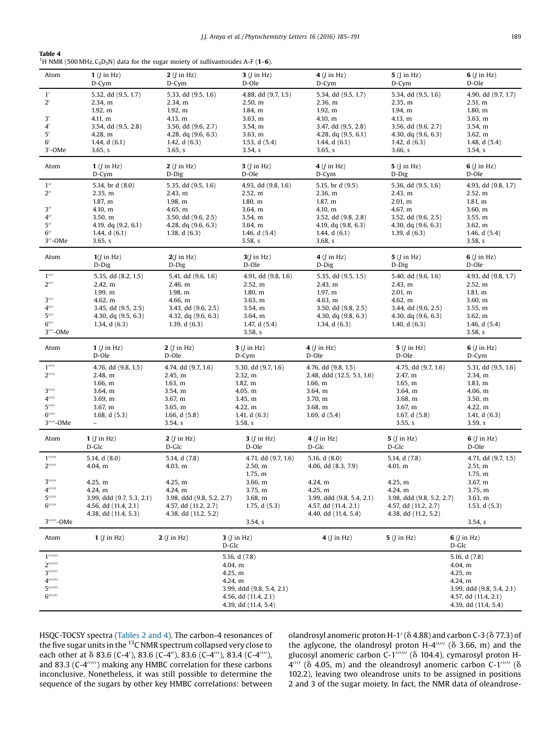| Table 4                                                                                                                   |
|---------------------------------------------------------------------------------------------------------------------------|
| <sup>1</sup> H NMR (500 MHz, C <sub>5</sub> D <sub>5</sub> N) data for the sugar moiety of sullivantosides A-F ( $1-6$ ). |

| Atom                                                       | $1$ ( <i>J</i> in Hz)<br>D-Cym   | $2$ ( <i>J</i> in Hz)<br>D-Cym   | $3$ ( <i>J</i> in Hz)<br>D-Ole | $4$ ( <i>J</i> in Hz)<br>D-Cym   | $5$ (J in Hz)<br>D-Cym         | $6$ ( <i>I</i> in Hz)<br>D-Ole |
|------------------------------------------------------------|----------------------------------|----------------------------------|--------------------------------|----------------------------------|--------------------------------|--------------------------------|
| 1'<br>$2^{\prime}$                                         | 5.32, dd (9.5, 1.7)<br>2.34, m   | 5.33, dd (9.5, 1.6)<br>2.34, m   | 4.88, dd (9.7, 1.5)<br>2.50, m | 5.34, dd (9.5, 1.7)<br>2.36, m   | 5.34, dd (9.5, 1.6)<br>2.35, m | 4.90, dd (9.7, 1.7)<br>2.51, m |
|                                                            | 1.92, m                          | 1.92, m                          | 1.84, m                        | 1.92, m                          | 1.94, m                        | 1.80, m                        |
| 3'                                                         | 4.11, m                          | 4.13, m                          | 3.63, m                        | 4.10, m                          | 4.13, m                        | 3.63, m                        |
| $4^{\prime}$                                               | 3.54, dd (9.5, 2.8)              | 3.56, dd (9.6, 2.7)              | 3.54, m                        | 3.47, dd (9.5, 2.8)              | 3.56, dd (9.6, 2.7)            | 3.54, m                        |
| 5'                                                         | 4.28, m                          | 4.28, $dq$ (9.6, 6.3)            | 3.63, m                        | 4.28, $dq$ (9.5, 6.1)            | 4.30, dq (9.6, 6.3)            | 3.62, m                        |
| 6'                                                         | 1.44, $d(6.1)$                   | 1.42, $d(6.3)$                   | 1.53, $d(5.4)$                 | 1.44, d $(6.1)$                  | 1.42, $d(6.3)$                 | 1.48, $d(5.4)$                 |
| 3'-OMe                                                     | 3.65, s                          | 3.65, s                          | 3.54, s                        | 3.65, s                          | 3.66, s                        | 3.54, s                        |
| Atom                                                       | $1$ ( <i>I</i> in Hz)<br>$D-Cym$ | $2$ ( <i>J</i> in Hz)<br>D-Dig   | $3$ ( <i>J</i> in Hz)<br>D-Ole | $4$ ( <i>J</i> in Hz)<br>D-Cym   | $5$ (J in Hz)<br>D-Dig         | $6$ ( <i>I</i> in Hz)<br>D-Ole |
| $1^{\prime\prime}$                                         | 5.14, br d (8.0)                 | 5.35, dd (9.5, 1.6)              | 4.93, dd (9.8, 1.6)            | 5.15, br d (9.5)                 | 5.36, dd (9.5, 1.6)            | 4.93, dd (9.8, 1.7)            |
| $2^{\prime\prime}$                                         | 2.35, m                          | 2.43, m                          | 2.52, m                        | 2.36, m                          | 2.43, m                        | 2.52, m                        |
|                                                            | 1.87, m                          | 1.98, m                          | 1.80, m                        | 1.87, m                          | 2.01, m                        | 1.81, m                        |
| $3^{\prime\prime}$                                         | 4.10, m                          | 4.65, m                          | 3.64, m                        | 4.10, m                          | 4.67, m                        | 3.60, m                        |
| $4^{\prime\prime}$                                         | 3.50, m                          | 3.50, dd $(9.6, 2.5)$            | 3.54, m                        | 3.52, dd (9.8, 2.8)              | 3.52, dd (9.6, 2.5)            | 3.55, m                        |
| $5^{\prime\prime}$                                         | 4.19, dq (9.2, 6.1)              | 4.28, $dq$ (9.6, 6.3)            | 3.64, m                        | 4.19, $dq$ (9.8, 6.3)            | 4.30, $dq$ (9.6, 6.3)          | 3.62, m                        |
| $6^{\prime\prime}$                                         | 1.44, $d(6.1)$                   | 1.38, $d(6.3)$                   | 1.46, $d(5.4)$                 | 1.44, $d(6.1)$                   | 1.39, $d(6.3)$                 | 1.46, $d(5.4)$                 |
| $3''$ -OMe                                                 | 3.65, s                          |                                  | 3.58, s                        | 3.68, s                          |                                | 3.58, s                        |
| Atom                                                       | $1(J \text{ in } Hz)$<br>D-Dig   | $2(I \text{ in } Hz)$<br>$D-Dig$ | $3$ ( <i>J</i> in Hz)<br>D-Ole | $4$ ( <i>J</i> in Hz)<br>$D-Dig$ | $5$ ( <i>J</i> in Hz)<br>D-Dig | $6$ ( <i>J</i> in Hz)<br>D-Ole |
| $1^{\prime\prime\prime}$                                   |                                  |                                  |                                |                                  |                                |                                |
| $2^{\prime\prime\prime}$                                   | 5.35, dd (8.2, 1.5)              | 5.41, dd (9.6, 1.6)              | 4.91, dd (9.8, 1.6)            | 5.35, dd (9.5, 1.5)              | 5.40, dd (9.6, 1.6)<br>2.43, m | 4.93, dd (9.8, 1.7)            |
|                                                            | 2.42, m<br>1.99, m               | 2.46, m<br>1.98, m               | 2.52, m                        | 2.43, m<br>1.97, m               | 2.01, m                        | 2.52, m                        |
| $3^{\prime\prime\prime}$                                   |                                  |                                  | 1.80, m                        |                                  |                                | 1.81, m<br>3.60, m             |
| $4^{\prime\prime\prime}$                                   | 4.62, m<br>3.45, dd (9.5, 2.5)   | 4.66, m<br>3.43, dd (9.6, 2.5)   | 3.63, m<br>3.54, m             | 4.63, m<br>3.50, dd $(9.8, 2.5)$ | 4.62, m<br>3.44, dd (9.6, 2.5) | 3.55, m                        |
| $5^{\prime\prime\prime}$                                   | 4.30, dq (9.5, 6.3)              | 4.32, $dq$ (9.6, 6.3)            | 3.64, m                        | 4.30, dq (9.8, 6.3)              | 4.30, $dq$ (9.6, 6.3)          | 3.62, m                        |
| $6^{\prime\prime\prime}$                                   | 1.34, d $(6.3)$                  | 1.39, $d(6.3)$                   | 1.47, $d(5.4)$                 | 1.34, $d(6.3)$                   | 1.40, d $(6.3)$                | 1.46, d $(5.4)$                |
| 3'''-OMe                                                   |                                  |                                  | 3.58, s                        |                                  |                                | 3.58, s                        |
|                                                            |                                  |                                  |                                |                                  |                                |                                |
|                                                            |                                  |                                  |                                |                                  |                                |                                |
| Atom                                                       | 1 $(I \text{ in } Hz)$<br>D-Ole  | $2$ ( <i>J</i> in Hz)<br>D-Ole   | $3$ ( $\sin$ Hz)<br>D-Cym      | $4$ ( <i>J</i> in Hz)<br>D-Ole   | $5$ ( <i>J</i> in Hz)<br>D-Ole | $6$ ( <i>J</i> in Hz)<br>D-Cym |
| $1^{\prime\prime\prime\prime}$                             | 4.76, dd (9.8, 1.5)              | 4.74, dd (9.7, 1.6)              | 5.30, dd (9.7, 1.6)            | 4.76, dd (9.8, 1.5)              | 4.75, dd (9.7, 1.6)            |                                |
| $2^{\prime\prime\prime\prime}$                             | 2.48, m                          | 2.45, m                          | 2.32, m                        | 2.48, ddd (12.5, 5.1, 1.6)       | 2.47, m                        | 5.31, dd (9.5, 1.6)<br>2.34, m |
|                                                            | 1.66, m                          | 1.63, m                          | 1.82, m                        | 1.66, m                          | 1.65, m                        | 1.83, m                        |
| $3^{\prime\prime\prime\prime}$                             | 3.64, m                          | 3.54, m                          | 4.05, m                        | 3.64, m                          | 3.64, m                        | 4.06, m                        |
| $4^{\prime\prime\prime\prime}$                             | 3.69, m                          | 3.67, m                          | 3.45, m                        | 3.70, m                          | 3.68, m                        | 3.50, m                        |
| 5''''                                                      | 3.67, m                          | 3.65, m                          | 4.22, m                        | 3.68, m                          | 3.67, m                        | 4.22, m                        |
| $6$ <sup>''''</sup>                                        | 1.68, $d(5.3)$                   | 1.66, $d(5.8)$                   | 1.41, $d(6.3)$                 | 1.69, d $(5.4)$                  | 1.67, d $(5.8)$                | 1.41, d $(6.3)$                |
| 3''''-OMe                                                  | $\qquad \qquad -$                | 3.54, s                          | 3.58, s                        |                                  | 3.55, s                        | 3.59, s                        |
| Atom                                                       | $1$ ( <i>J</i> in Hz)            | $2$ ( <i>J</i> in Hz)            | $3$ ( <i>J</i> in Hz)          | $4$ ( <i>J</i> in Hz)            | $5$ ( <i>J</i> in Hz)          | $6$ ( <i>J</i> in Hz)          |
|                                                            | D-Glc                            | D-Glc                            | D-Ole                          | D-Glc                            | D-Glc                          | D-Ole                          |
| $1^{\prime\prime\prime\prime\prime}$                       | 5.14, $d(8.0)$                   | 5.14, d (7.8)                    | 4.71, dd (9.7, 1.6)            | 5.16, $d(8.0)$                   | 5.14, d (7.8)                  | 4.71, dd (9.7, 1.5)            |
| 2                                                          | 4.04, m                          | 4.03, m                          | 2.50, m                        | 4.06, dd (8.3, 7.9)              | 4.01, m                        | 2.51, m                        |
|                                                            |                                  |                                  | 1.75, m                        |                                  |                                | 1.75, m                        |
| 3                                                          | 4.25, m                          | 4.25, m                          | 3.66, m                        | 4.24, m                          | 4.25, m                        | 3.67, m                        |
| 4                                                          | 4.24, m                          | 4.24, m                          | 3.75, m                        | 4.25, m                          | 4.24, m                        | 3.75, m                        |
| $5^{\prime\prime\prime\prime\prime}$                       | 3.99, ddd (9.7, 5.3, 2.1)        | 3.98, ddd (9.8, 5.2, 2.7)        | 3.68, m                        | 3.99, ddd (9.8, 5.4, 2.1)        | 3.98, ddd (9.8, 5.2, 2.7)      | 3.63, m                        |
| $6$ <sup><math>\prime\prime\prime\prime\prime</math></sup> | 4.56, dd (11.4, 2.1)             | 4.57, dd (11.2, 2.7)             | 1.75, $d(5.3)$                 | 4.57, dd (11.4, 2.1)             | 4.57, dd (11.2, 2.7)           | 1.53, $d(5.3)$                 |
|                                                            | 4.38, dd (11.4, 5.3)             | 4.38, dd (11.2, 5.2)             |                                | 4.40, dd (11.4, 5.4)             | 4.38, dd (11.2, 5.2)           |                                |
| 3'''''-OMe                                                 |                                  |                                  | 3.54, s                        |                                  |                                | 3.54, s                        |
| Atom                                                       | 1 $(J \text{ in } Hz)$           | $2$ ( <i>J</i> in Hz)            | $3$ ( <i>J</i> in Hz)<br>D-Glc | $4$ ( <i>J</i> in Hz)            | $5$ ( <i>J</i> in Hz)          | $6$ ( <i>J</i> in Hz)<br>D-Glc |
| 1                                                          |                                  |                                  | 5.16, d (7.8)                  |                                  |                                | 5.16, d (7.8)                  |
| 2                                                          |                                  |                                  | 4.04, m                        |                                  |                                | 4.04, m                        |
| 3                                                          |                                  |                                  | 4.25, m                        |                                  |                                | 4.25, m                        |
| 4                                                          |                                  |                                  | 4.24, m                        |                                  |                                | 4.24, m                        |
| 5                                                          |                                  |                                  | 3.99, ddd (9.8, 5.4, 2.1)      |                                  |                                | 3.99, ddd (9.8, 5.4, 2.1)      |
| $6$ <sup><math>\prime</math></sup>                         |                                  |                                  | 4.56, dd (11.4, 2.1)           |                                  |                                | 4.57, dd (11.4, 2.1)           |

HSQC-TOCSY spectra ([Tables](#page-2-0) 2 and 4). The carbon-4 resonances of the five sugar units in the  $^{13}$ C NMR spectrum collapsed very close to each other at  $\delta$  83.6 (C-4'), 83.6 (C-4"), 83.6 (C-4"'), 83.4 (C-4"''), and 83.3 ( $C-4$ <sup> $\prime\prime\prime\prime\prime$ </sup>) making any HMBC correlation for these carbons inconclusive. Nonetheless, it was still possible to determine the sequence of the sugars by other key HMBC correlations: between olandrosyl anomeric proton H-1' ( $\delta$  4.88) and carbon C-3 ( $\delta$  77.3) of the aglycone, the olandrosyl proton H-4 $^{\prime\prime\prime\prime\prime}$  ( $\delta$  3.66, m) and the glucosyl anomeric carbon  $C-1$ <sup>noon</sup> ( $\delta$  104.4), cymarosyl proton H- $4^{\prime\prime\prime\prime}$  ( $\delta$  4.05, m) and the oleandrosyl anomeric carbon C-1 $^{\prime\prime\prime\prime\prime}$  ( $\delta$ 102.2), leaving two oleandrose units to be assigned in positions 2 and 3 of the sugar moiety. In fact, the NMR data of oleandrose-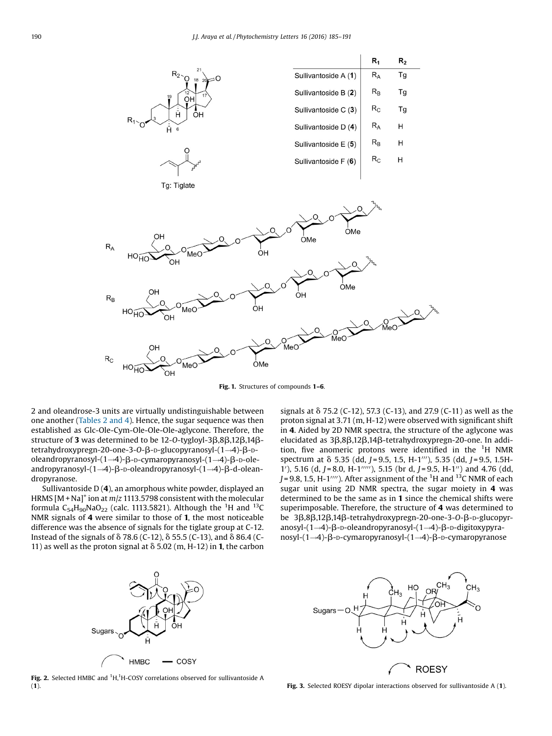<span id="page-5-0"></span>

Fig. 1. Structures of compounds 1-6.

2 and oleandrose-3 units are virtually undistinguishable between one another [\(Tables](#page-2-0) 2 and 4). Hence, the sugar sequence was then established as Glc-Ole-Cym-Ole-Ole-Ole-aglycone. Therefore, the structure of 3 was determined to be 12-0-tygloyl-3 $\beta$ ,8 $\beta$ ,12 $\beta$ ,14 $\beta$ tetrahydroxypregn-20-one-3-O- $\beta$ -D-glucopyranosyl- $(1\rightarrow4)$ - $\beta$ -Doleandropyranosyl- $(1\rightarrow4)$ - $\beta$ -D-cymaropyranosyl- $(1\rightarrow4)$ - $\beta$ -D-oleandropyranosyl- $(1\rightarrow4)$ - $\beta$ - $D$ -oleandropyranosyl- $(1\rightarrow4)$ - $\beta$ -d-oleandropyranose.

Sullivantoside D (4), an amorphous white powder, displayed an HRMS  $[M + Na]^{+}$  ion at  $m/z$  1113.5798 consistent with the molecular formula  $C_{54}H_{90}NaO_{22}$  (calc. 1113.5821). Although the <sup>1</sup>H and <sup>13</sup>C NMR signals of 4 were similar to those of 1, the most noticeable difference was the absence of signals for the tiglate group at C-12. Instead of the signals of  $\delta$  78.6 (C-12),  $\delta$  55.5 (C-13), and  $\delta$  86.4 (C-11) as well as the proton signal at  $\delta$  5.02 (m, H-12) in 1, the carbon signals at  $\delta$  75.2 (C-12), 57.3 (C-13), and 27.9 (C-11) as well as the proton signal at 3.71 (m, H-12) were observed with significant shift in 4. Aided by 2D NMR spectra, the structure of the aglycone was elucidated as 3β,8β,12β,14β-tetrahydroxypregn-20-one. In addition, five anomeric protons were identified in the  ${}^{1}$ H NMR spectrum at  $\delta$  5.35 (dd, J = 9.5, 1.5, H-1<sup>111</sup>), 5.35 (dd, J = 9.5, 1.5H-1'), 5.16 (d, J = 8.0, H-1"'"), 5.15 (br d, J = 9.5, H-1") and 4.76 (dd, J = 9.8, 1.5, H-1''''). After assignment of the  $^1\mathrm{H}$  and  $^{13}\mathrm{C}$  NMR of each sugar unit using 2D NMR spectra, the sugar moiety in 4 was determined to be the same as in 1 since the chemical shifts were superimposable. Therefore, the structure of 4 was determined to be 3β,8β,12β,14β-tetrahydroxypregn-20-one-3-O-β-D-glucopyranosyl- $(1\rightarrow4)$ - $\beta$ - $D$ -oleandropyranosyl- $(1\rightarrow4)$ - $\beta$ - $D$ -digitoxypyra $nosyl-(1\rightarrow4)-\beta$ -D-cymaropyranosyl- $(1\rightarrow4)-\beta$ -D-cymaropyranose



HO Sugars ∩ **ROESY** 

Fig. 2. Selected HMBC and  ${}^{1}$ H, ${}^{1}$ H-COSY correlations observed for sullivantoside A (1). Fig. 3. Selected ROESY dipolar interactions observed for sullivantoside A (1).